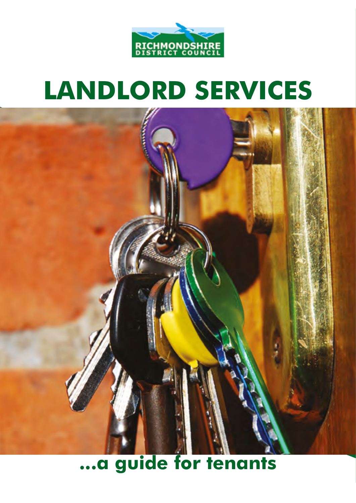

# **LANDLORD SERVICES**



# **...a guide for tenants**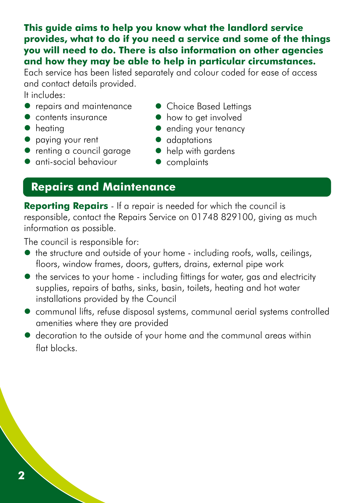**2**

#### **This guide aims to help you know what the landlord service provides, what to do if you need a service and some of the things you will need to do. There is also information on other agencies and how they may be able to help in particular circumstances.**

Each service has been listed separately and colour coded for ease of access and contact details provided.

It includes:

- repairs and maintenance Choice Based Lettings
- 
- 
- 
- paying your rent adaptations<br>• renting a council garage help with gardens  $\bullet$  renting a council garage
- $\bullet$  anti-social behaviour  $\bullet$  complaints
- 
- contents insurance • • • how to get involved
- heating ending your tenancy
	-
	-
	-

## **Repairs and Maintenance**

**Reporting Repairs** - If a repair is needed for which the council is responsible, contact the Repairs Service on 01748 829100, giving as much information as possible.

The council is responsible for:

- the structure and outside of your home including roofs, walls, ceilings, floors, window frames, doors, gutters, drains, external pipe work
- the services to your home including fittings for water, gas and electricity supplies, repairs of baths, sinks, basin, toilets, heating and hot water installations provided by the Council
- communal lifts, refuse disposal systems, communal aerial systems controlled amenities where they are provided
- decoration to the outside of your home and the communal areas within flat blocks.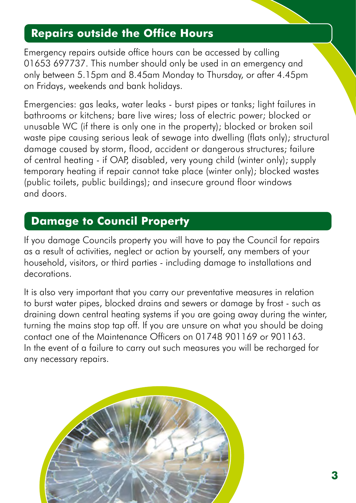## **Repairs outside the Office Hours**

Emergency repairs outside office hours can be accessed by calling 01653 697737. This number should only be used in an emergency and only between 5.15pm and 8.45am Monday to Thursday, or after 4.45pm on Fridays, weekends and bank holidays.

Emergencies: gas leaks, water leaks - burst pipes or tanks; light failures in bathrooms or kitchens; bare live wires; loss of electric power; blocked or unusable WC (if there is only one in the property); blocked or broken soil waste pipe causing serious leak of sewage into dwelling (flats only); structural damage caused by storm, flood, accident or dangerous structures; failure of central heating - if OAP, disabled, very young child (winter only); supply temporary heating if repair cannot take place (winter only); blocked wastes (public toilets, public buildings); and insecure ground floor windows and doors.

## **Damage to Council Property**

If you damage Councils property you will have to pay the Council for repairs as a result of activities, neglect or action by yourself, any members of your household, visitors, or third parties - including damage to installations and decorations.

It is also very important that you carry our preventative measures in relation to burst water pipes, blocked drains and sewers or damage by frost - such as draining down central heating systems if you are going away during the winter, turning the mains stop tap off. If you are unsure on what you should be doing contact one of the Maintenance Officers on 01748 901169 or 901163. In the event of a failure to carry out such measures you will be recharged for any necessary repairs.

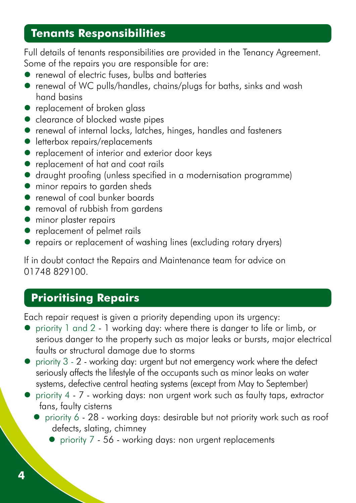### **Tenants Responsibilities**

Full details of tenants responsibilities are provided in the Tenancy Agreement. Some of the repairs you are responsible for are:

- renewal of electric fuses, bulbs and batteries
- renewal of WC pulls/handles, chains/plugs for baths, sinks and wash hand basins
- replacement of broken glass
- clearance of blocked waste pipes
- renewal of internal locks, latches, hinges, handles and fasteners
- **•** letterbox repairs/replacements
- replacement of interior and exterior door keys
- replacement of hat and coat rails
- draught proofing (unless specified in a modernisation programme)
- minor repairs to garden sheds
- renewal of coal bunker boards
- removal of rubbish from gardens
- **•** minor plaster repairs
- replacement of pelmet rails
- repairs or replacement of washing lines (excluding rotary dryers)

If in doubt contact the Repairs and Maintenance team for advice on 01748 829100.

## **Prioritising Repairs**

Each repair request is given a priority depending upon its urgency:

- priority 1 and 2 1 working day: where there is danger to life or limb, or serious danger to the property such as major leaks or bursts, major electrical faults or structural damage due to storms
- priority 3 2 working day: urgent but not emergency work where the defect seriously affects the lifestyle of the occupants such as minor leaks on water systems, defective central heating systems (except from May to September)
- priority 4 7 working days: non urgent work such as faulty taps, extractor fans, faulty cisterns
	- priority 6 28 working days: desirable but not priority work such as roof defects, slating, chimney
		- priority 7 56 working days: non urgent replacements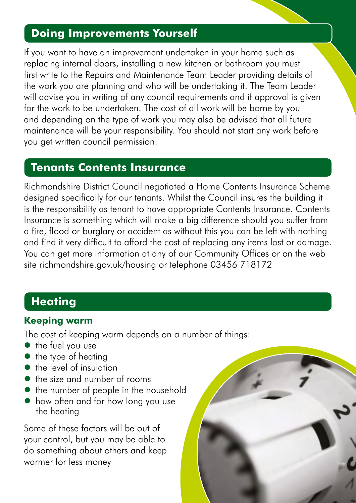## **Doing Improvements Yourself**

If you want to have an improvement undertaken in your home such as replacing internal doors, installing a new kitchen or bathroom you must first write to the Repairs and Maintenance Team Leader providing details of the work you are planning and who will be undertaking it. The Team Leader will advise you in writing of any council requirements and if approval is given for the work to be undertaken. The cost of all work will be borne by you and depending on the type of work you may also be advised that all future maintenance will be your responsibility. You should not start any work before you get written council permission.

#### **Tenants Contents Insurance**

Richmondshire District Council negotiated a Home Contents Insurance Scheme designed specifically for our tenants. Whilst the Council insures the building it is the responsibility as tenant to have appropriate Contents Insurance. Contents Insurance is something which will make a big difference should you suffer from a fire, flood or burglary or accident as without this you can be left with nothing and find it very difficult to afford the cost of replacing any items lost or damage. You can get more information at any of our Community Offices or on the web site [richmondshire.gov.uk/h](https://www.richmondshire.gov.uk/housing/council-tenants/contents-insurance/)ousing or telephone 03456 718172

# **Heating**

#### **Keeping warm**

The cost of keeping warm depends on a number of things:

- the fuel you use
- $\bullet$  the type of heating
- the level of insulation
- the size and number of rooms
- $\bullet$  the number of people in the household
- how often and for how long you use the heating

Some of these factors will be out of your control, but you may be able to do something about others and keep warmer for less money

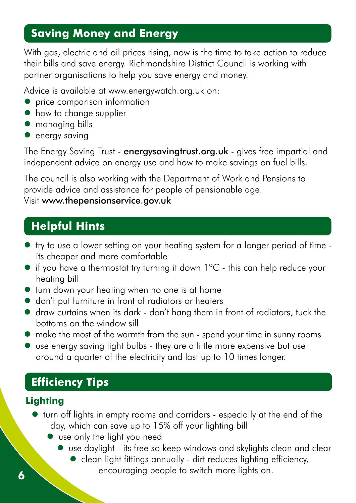# **Saving Money and Energy**

With gas, electric and oil prices rising, now is the time to take action to reduce their bills and save energy. Richmondshire District Council is working with partner organisations to help you save energy and money.

Advice is available at [www.energywatch.org.uk](http://www.energywatch.org.uk) on:

- price comparison information
- $\bullet$  how to change supplier
- managing bills
- $\bullet$  energy saving

The Energy Saving Trust - [energysavingtrust.org.uk](https://energysavingtrust.org.uk) - gives free impartial and independent advice on energy use and how to make savings on fuel bills.

The council is also working with the Department of Work and Pensions to provide advice and assistance for people of pensionable age.

#### Visit [www.thepensionservice.gov.uk](http://www.thepensionservice.gov.uk)

# **Helpful Hints**

- try to use a lower setting on your heating system for a longer period of time its cheaper and more comfortable
- if you have a thermostat try turning it down 1ºC this can help reduce your heating bill
- turn down your heating when no one is at home
- $\bullet$  don't put furniture in front of radiators or heaters
- draw curtains when its dark don't hang them in front of radiators, tuck the bottoms on the window sill
- make the most of the warmth from the sun spend your time in sunny rooms
- use energy saving light bulbs they are a little more expensive but use around a quarter of the electricity and last up to 10 times longer.

# **Efficiency Tips**

#### **Lighting**

- turn off lights in empty rooms and corridors especially at the end of the day, which can save up to 15% off your lighting bill
	- use only the light you need
		- use daylight its free so keep windows and skylights clean and clear
- clean light fittings annually dirt reduces lighting efficiency, encouraging people to switch more lights on.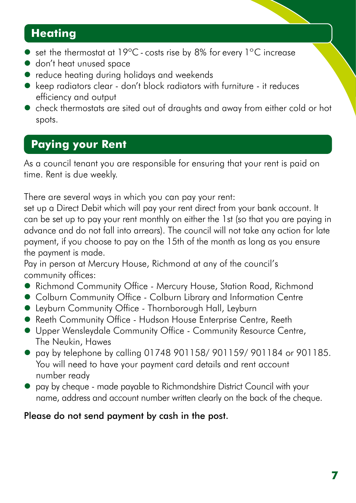# **Heating**

- set the thermostat at 19°C costs rise by 8% for every 1°C increase
- don't heat unused space
- reduce heating during holidays and weekends
- keep radiators clear don't block radiators with furniture it reduces efficiency and output
- check thermostats are sited out of draughts and away from either cold or hot spots.

# **Paying your Rent**

As a council tenant you are responsible for ensuring that your rent is paid on time. Rent is due weekly.

There are several ways in which you can pay your rent:

set up a Direct Debit which will pay your rent direct from your bank account. It can be set up to pay your rent monthly on either the 1st (so that you are paying in advance and do not fall into arrears). The council will not take any action for late payment, if you choose to pay on the 15th of the month as long as you ensure the payment is made.

Pay in person at Mercury House, Richmond at any of the council's community offices:

- Richmond Community Office Mercury House, Station Road, Richmond
- Colburn Community Office Colburn Library and Information Centre
- Leyburn Community Office Thornborough Hall, Leyburn
- Reeth Community Office Hudson House Enterprise Centre, Reeth
- Upper Wensleydale Community Office Community Resource Centre, The Neukin, Hawes
- $\bullet$  pay by telephone by calling 01748 901158/ 901159/ 901184 or 901185. You will need to have your payment card details and rent account number ready
- pay by cheque made payable to Richmondshire District Council with your name, address and account number written clearly on the back of the cheque.

#### Please do not send payment by cash in the post.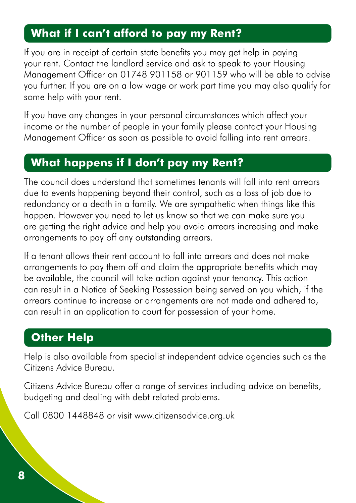## **What if I can't afford to pay my Rent?**

If you are in receipt of certain state benefits you may get help in paying your rent. Contact the landlord service and ask to speak to your Housing Management Officer on 01748 901158 or 901159 who will be able to advise you further. If you are on a low wage or work part time you may also qualify for some help with your rent.

If you have any changes in your personal circumstances which affect your income or the number of people in your family please contact your Housing Management Officer as soon as possible to avoid falling into rent arrears.

#### **What happens if I don't pay my Rent?**

The council does understand that sometimes tenants will fall into rent arrears due to events happening beyond their control, such as a loss of job due to redundancy or a death in a family. We are sympathetic when things like this happen. However you need to let us know so that we can make sure you are getting the right advice and help you avoid arrears increasing and make arrangements to pay off any outstanding arrears.

If a tenant allows their rent account to fall into arrears and does not make arrangements to pay them off and claim the appropriate benefits which may be available, the council will take action against your tenancy. This action can result in a Notice of Seeking Possession being served on you which, if the arrears continue to increase or arrangements are not made and adhered to, can result in an application to court for possession of your home.

## **Other Help**

Help is also available from specialist independent advice agencies such as the Citizens Advice Bureau.

Citizens Advice Bureau offer a range of services including advice on benefits, budgeting and dealing with debt related problems.

Call 0800 1448848 or visit [www.citizensadvice.org.uk](http://www.citizensadvice.org.uk)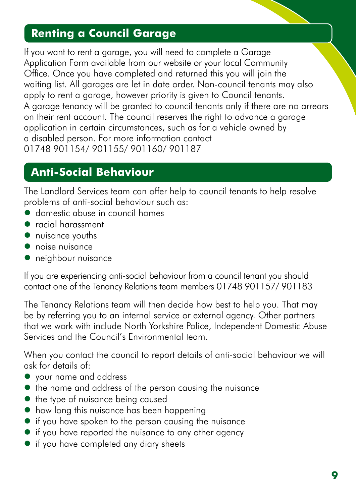# **Renting a Council Garage**

If you want to rent a garage, you will need to complete a Garage Application Form available from our website or your local Community Office. Once you have completed and returned this you will join the waiting list. All garages are let in date order. Non-council tenants may also apply to rent a garage, however priority is given to Council tenants. A garage tenancy will be granted to council tenants only if there are no arrears on their rent account. The council reserves the right to advance a garage application in certain circumstances, such as for a vehicle owned by a disabled person. For more information contact 01748 901154/ 901155/ 901160/ 901187

## **Anti-Social Behaviour**

The Landlord Services team can offer help to council tenants to help resolve problems of anti-social behaviour such as:

- domestic abuse in council homes
- racial harassment
- nuisance youths
- **•** noise nuisance
- neighbour nuisance

If you are experiencing anti-social behaviour from a council tenant you should contact one of the Tenancy Relations team members 01748 901157/ 901183

The Tenancy Relations team will then decide how best to help you. That may be by referring you to an internal service or external agency. Other partners that we work with include North Yorkshire Police, Independent Domestic Abuse Services and the Council's Environmental team.

When you contact the council to report details of anti-social behaviour we will ask for details of:

- your name and address
- $\bullet$  the name and address of the person causing the nuisance
- $\bullet$  the type of nuisance being caused
- how long this nuisance has been happening
- if you have spoken to the person causing the nuisance
- if you have reported the nuisance to any other agency
- if you have completed any diary sheets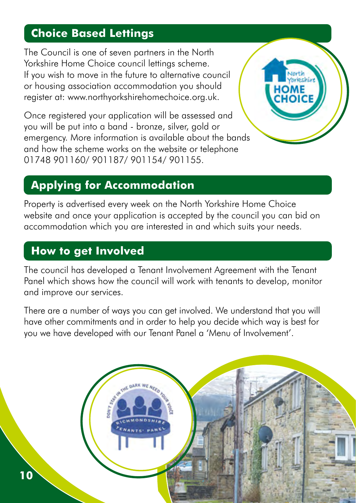## **Choice Based Lettings**

The Council is one of seven partners in the North Yorkshire Home Choice council lettings scheme. If you wish to move in the future to alternative council or housing association accommodation you should register at: [www.northyorkshirehomechoice.org.uk.](http://www.northyorkshirehomechoice.org.uk)

Once registered your application will be assessed and you will be put into a band - bronze, silver, gold or emergency. More information is available about the bands and how the scheme works on the website or telephone 01748 901160/ 901187/ 901154/ 901155.



# **Applying for Accommodation**

Property is advertised every week on the North Yorkshire Home Choice website and once your application is accepted by the council you can bid on accommodation which you are interested in and which suits your needs.

# **How to get Involved**

The council has developed a Tenant Involvement Agreement with the Tenant Panel which shows how the council will work with tenants to develop, monitor and improve our services.

There are a number of ways you can get involved. We understand that you will have other commitments and in order to help you decide which way is best for you we have developed with our Tenant Panel a 'Menu of Involvement'.

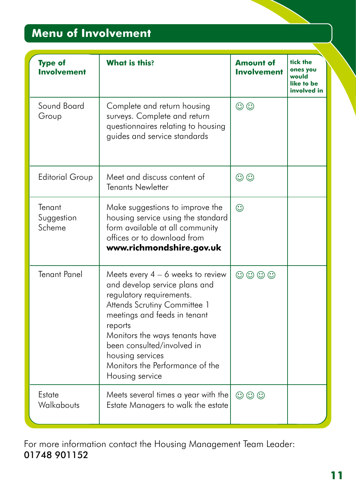# **Menu of Involvement**

| <b>Type of</b><br><b>Involvement</b> | <b>What is this?</b>                                                                                                                                                                                                                                                                                                  | <b>Amount of</b><br><b>Involvement</b> | tick the<br>ones you<br>would<br>like to be<br>involved in |
|--------------------------------------|-----------------------------------------------------------------------------------------------------------------------------------------------------------------------------------------------------------------------------------------------------------------------------------------------------------------------|----------------------------------------|------------------------------------------------------------|
| Sound Board<br>Group                 | Complete and return housing<br>surveys. Complete and return<br>questionnaires relating to housing<br>guides and service standards                                                                                                                                                                                     | $\odot$                                |                                                            |
| <b>Editorial Group</b>               | Meet and discuss content of<br><b>Tenants Newletter</b>                                                                                                                                                                                                                                                               | $\odot$                                |                                                            |
| Tenant<br>Suggestion<br>Scheme       | Make suggestions to improve the<br>housing service using the standard<br>form available at all community<br>offices or to download from<br>www.richmondshire.gov.uk                                                                                                                                                   | $\odot$                                |                                                            |
| <b>Tenant Panel</b>                  | Meets every $4 - 6$ weeks to review<br>and develop service plans and<br>regulatory requirements.<br>Attends Scrutiny Committee 1<br>meetings and feeds in tenant<br>reports<br>Monitors the ways tenants have<br>been consulted/involved in<br>housing services<br>Monitors the Performance of the<br>Housing service | $\odot$ $\odot$ $\odot$                |                                                            |
| Estate<br>Walkabouts                 | Meets several times a year with the<br>Estate Managers to walk the estate                                                                                                                                                                                                                                             | $\odot$ $\odot$ $\odot$                |                                                            |

For more information contact the Housing Management Team Leader: 01748 901152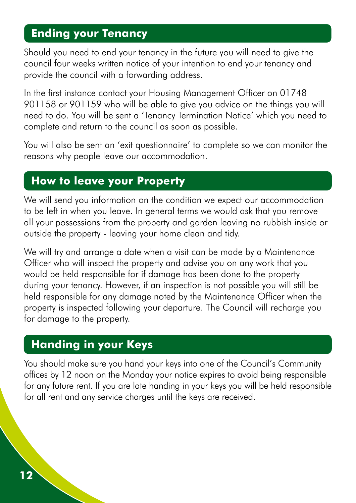## **Ending your Tenancy**

Should you need to end your tenancy in the future you will need to give the council four weeks written notice of your intention to end your tenancy and provide the council with a forwarding address.

In the first instance contact your Housing Management Officer on 01748 901158 or 901159 who will be able to give you advice on the things you will need to do. You will be sent a 'Tenancy Termination Notice' which you need to complete and return to the council as soon as possible.

You will also be sent an 'exit questionnaire' to complete so we can monitor the reasons why people leave our accommodation.

#### **How to leave your Property**

We will send you information on the condition we expect our accommodation to be left in when you leave. In general terms we would ask that you remove all your possessions from the property and garden leaving no rubbish inside or outside the property - leaving your home clean and tidy.

We will try and arrange a date when a visit can be made by a Maintenance Officer who will inspect the property and advise you on any work that you would be held responsible for if damage has been done to the property during your tenancy. However, if an inspection is not possible you will still be held responsible for any damage noted by the Maintenance Officer when the property is inspected following your departure. The Council will recharge you for damage to the property.

## **Handing in your Keys**

You should make sure you hand your keys into one of the Council's Community offices by 12 noon on the Monday your notice expires to avoid being responsible for any future rent. If you are late handing in your keys you will be held responsible for all rent and any service charges until the keys are received.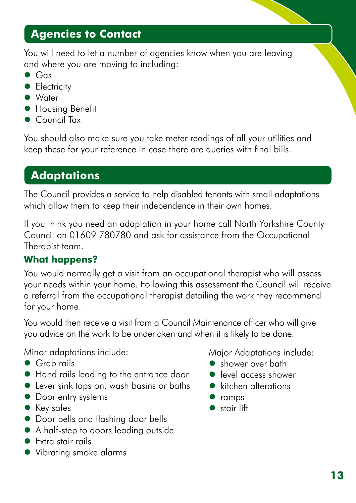## **Agencies to Contact**

You will need to let a number of agencies know when you are leaving and where you are moving to including:

- $\bullet$  Gas
- **Electricity**
- Water
- **Housing Benefit**
- Council Tax

You should also make sure you take meter readings of all your utilities and keep these for your reference in case there are queries with final bills.

# **Adaptations**

The Council provides a service to help disabled tenants with small adaptations which allow them to keep their independence in their own homes.

If you think you need an adaptation in your home call North Yorkshire County Council on 01609 780780 and ask for assistance from the Occupational Therapist team.

#### **What happens?**

You would normally get a visit from an occupational therapist who will assess your needs within your home. Following this assessment the Council will receive a referral from the occupational therapist detailing the work they recommend for your home.

You would then receive a visit from a Council Maintenance officer who will give you advice on the work to be undertaken and when it is likely to be done.

Minor adaptations include:

- Grab rails
- Hand rails leading to the entrance door
- Lever sink taps on, wash basins or baths
- Door entry systems
- Key safes
- Door bells and flashing door bells
- A half-step to doors leading outside
- Extra stair rails
- Vibrating smoke alarms

Major Adaptations include:

- shower over bath
- level access shower
- kitchen alterations
- ramps
- stair lift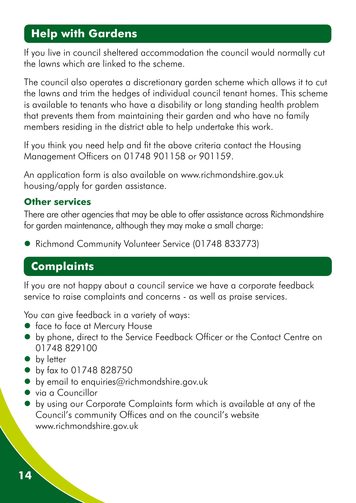## **Help with Gardens**

If you live in council sheltered accommodation the council would normally cut the lawns which are linked to the scheme.

The council also operates a discretionary garden scheme which allows it to cut the lawns and trim the hedges of individual council tenant homes. This scheme is available to tenants who have a disability or long standing health problem that prevents them from maintaining their garden and who have no family members residing in the district able to help undertake this work.

If you think you need help and fit the above criteria contact the Housing Management Officers on 01748 901158 or 901159.

An application form is also available on [www.richmondshire.gov.uk](https://selfservice.richmondshire.gov.uk/renderform.aspx?t=1101&k=62B7638A6F798385CB857C7C9C3884110879B029) housing/apply for garden assistance.

#### **Other services**

There are other agencies that may be able to offer assistance across Richmondshire for garden maintenance, although they may make a small charge:

• Richmond Community Volunteer Service (01748 833773)

# **Complaints**

If you are not happy about a council service we have a corporate feedback service to raise complaints and concerns - as well as praise services.

You can give feedback in a variety of ways:

- face to face at Mercury House
- by phone, direct to the Service Feedback Officer or the Contact Centre on 01748 829100
- by letter
- by fax to 01748 828750
- $\bullet$  by email to [enquiries@richmondshire.gov.uk](mailto:enquiries@richmondshire.gov.uk)
- via a Councillor
- by using our Corporate Complaints form which is available at any of the Council's community Offices and on the council's website [www.richmondshire.gov.uk](http://www.richmondshire.gov.uk)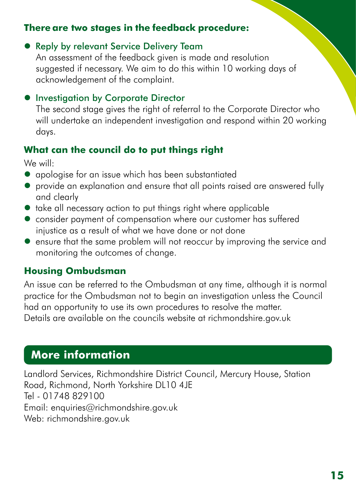#### **There are two stages in the feedback procedure:**

#### **• Reply by relevant Service Delivery Team**

An assessment of the feedback given is made and resolution suggested if necessary. We aim to do this within 10 working days of acknowledgement of the complaint.

#### **• Investigation by Corporate Director**

The second stage gives the right of referral to the Corporate Director who will undertake an independent investigation and respond within 20 working days.

#### **What can the council do to put things right**

We will:

- apologise for an issue which has been substantiated
- provide an explanation and ensure that all points raised are answered fully and clearly
- take all necessary action to put things right where applicable
- consider payment of compensation where our customer has suffered injustice as a result of what we have done or not done
- ensure that the same problem will not reoccur by improving the service and monitoring the outcomes of change.

#### **Housing Ombudsman**

An issue can be referred to the Ombudsman at any time, although it is normal practice for the Ombudsman not to begin an investigation unless the Council had an opportunity to use its own procedures to resolve the matter. Details are available on the councils website at [richmondshire.gov.uk](http://richmondshire.gov.uk )

## **More information**

Landlord Services, Richmondshire District Council, Mercury House, Station Road, Richmond, North Yorkshire DL10 4JE Tel - 01748 829100 Email: [enquiries@richmondshire.gov.uk](mailto:enquiries@richmondshire.gov.uk) Web: [richmondshire.gov.uk](http://richmondshire.gov.uk)